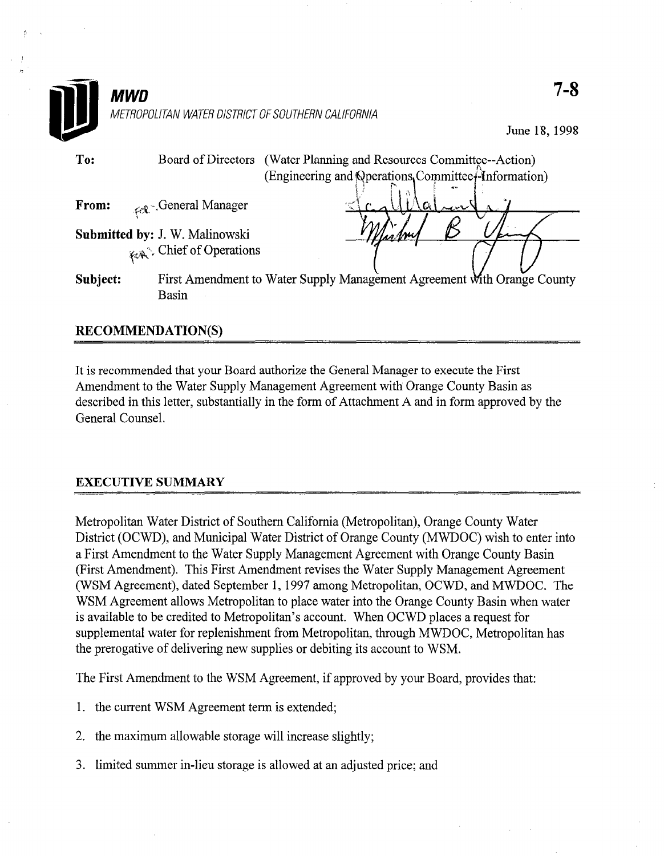

# RECOMMENDATION(S)

It is recommended that your Board authorize the General Manager to execute the First Amendment to the Water Supply Management Agreement with Orange County Basin as described in this letter, substantially in the form of Attachment A and in form approved by the General Counsel.

# EXECUTIVE SUMMARY

Metropolitan Water District of Southern California (Metropolitan), Orange County Water Metropolitan Water District of Southern Camorina (Metropolitan), Orange County Water District (OCWD), and Municipal Water District of Orange County (MWDOC) wish to enter into a First Amendment to the Water Supply Management Agreement with Orange County Basin (First Amendment). This First Amendment revises the Water Supply Management Agreement (WSM Agreement), dated September 1, 1997 among Metropolitan, OCWD, and MWDOC. The WSM Agreement allows Metropolitan to place water into the Orange County Basin when water is available to be credited to Metropolitan's account. When OCWD places a request for supplemental water for replenishment from Metropolitan, through MWDOC, Metropolitan has the prerogative of delivering new supplies or debiting its account to WSM.

The First Amendment to the WSM Agreement, if approved by your Board, provides that:

- 1. the current WSM Agreement term is extended;
- $2<sup>1</sup>$ the maximum allowable storage will increase slightly;
- 3. limited summer in-lieu storage is allowed at an adjusted price; and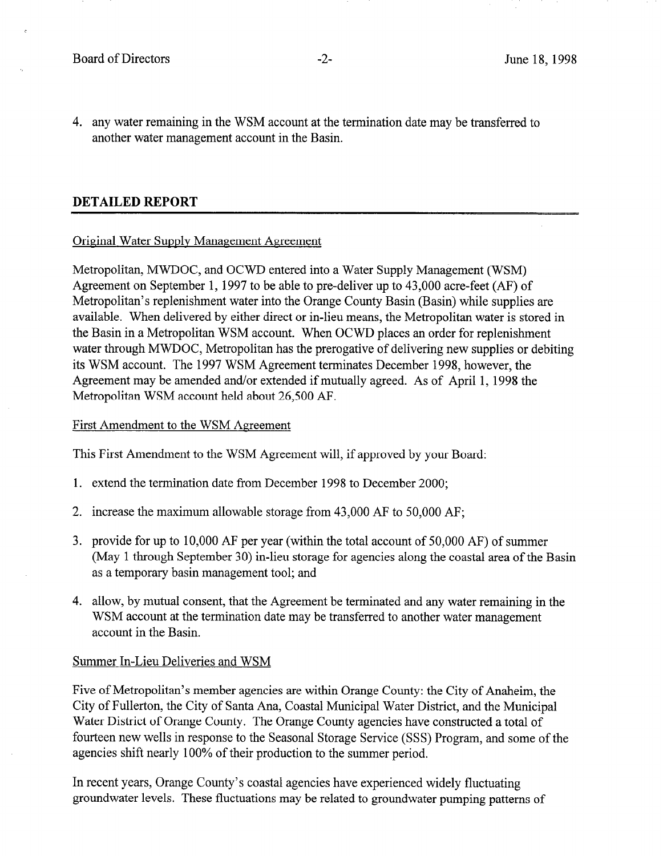4. any water remaining in the WSM account at the termination date may be transferred to another water management account in the Basin.

# DETAILED REPORT

### Original Water Supplv Management Agreement

Metropolitan, MWDOC, and OCWD entered into a Water Supply Management (WSM) Agreement on September 1, 1997 to be able to pre-deliver up to 43,000 acre-feet (AF) of Metropolitan's replenishment water into the Orange County Basin (Basin) while supplies are available. When delivered by either direct or in-lieu means, the Metropolitan water is stored in the Basin in a Metropolitan WSM account. When OCWD places an order for replenishment water through MWDOC, Metropolitan has the prerogative of delivering new supplies or debiting its WSM account. The 1997 WSM Agreement terminates December 1998, however, the Agreement may be amended and/or extended if mutually agreed. As of April 1, 1998 the Metropolitan WSM account held about 26,500 AF.

### First Amendment to the WSM Agreement

This First Amendment to the WSM Agreement will, if approved by your Board:

- 1. extend the termination date from December 1998 to December 2000;
- 2. increase the maximum allowable storage from 43,000 AF to 50,000 AF;
- 3. provide for up to 10,000 AF per year (within the total account of 50,000 AF) of summer (May 1 through September 30) in-lieu storage for agencies along the coastal area of the Basin as a temporary basin management tool; and
- 4. allow, by mutual consent, that the Agreement be terminated and any water remaining in the WSM account at the termination date may be transferred to another water management account in the Basin.

### Summer In-Lieu Deliveries and WSM

Five of Metropolitan's member agencies are within Orange County: the City of Anaheim, the City of Fullerton, the City of Santa Ana, Coastal Municipal Water District, and the Municipal Water District of Orange County. The Orange County agencies have constructed a total of fourteen new wells in response to the Seasonal Storage Service (SSS) Program, and some of the agencies shift nearly 100% of their production to the summer period.

In recent years, Orange County's coastal agencies have experienced widely fluctuating groundwater levels. These fluctuations may be related to groundwater pumping patterns of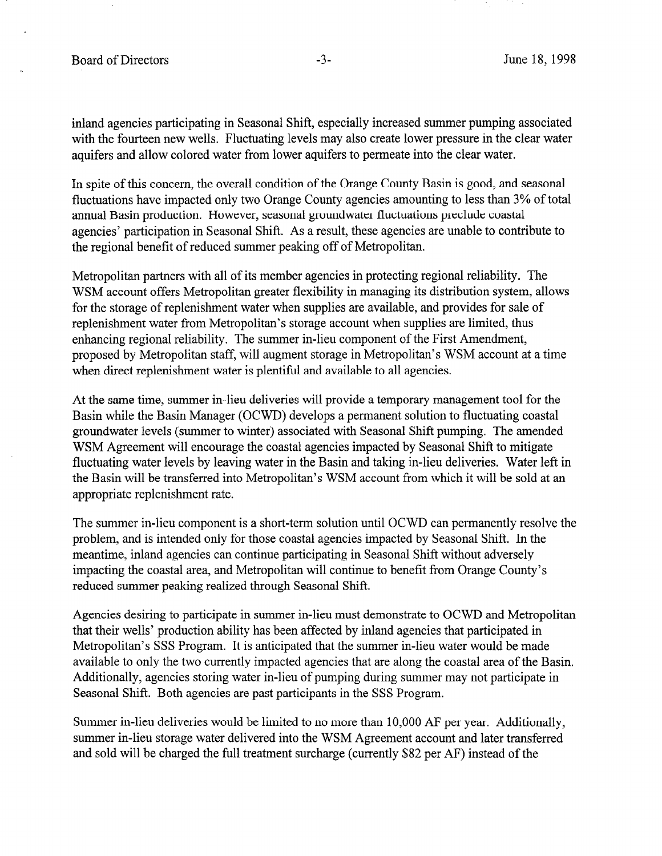inland agencies participating in Seasonal Shift, especially increased summer pumping associated with the fourteen new wells. Fluctuating levels may also create lower pressure in the clear water aquifers and allow colored water from lower aquifers to permeate into the clear water.

In spite of this concern, the overall condition of the Orange County Basin is good, and seasonal fluctuations have impacted only two Orange County agencies amounting to less than 3% of total annual Basin production. However, seasonal groundwater fluctuations preclude coastal agencies' participation in Seasonal Shift. As a result, these agencies are unable to contribute to the regional benefit of reduced summer peaking off of Metropolitan.

Metropolitan partners with all of its member agencies in protecting regional reliability. The WSM account offers Metropolitan greater flexibility in managing its distribution system, allows for the storage of replenishment water when supplies are available, and provides for sale of replenishment water from Metropolitan's storage account when supplies are limited, thus enhancing regional reliability. The summer in-lieu component of the First Amendment, proposed by Metropolitan staff, will augment storage in Metropolitan's WSM account at a time when direct replenishment water is plentiful and available to all agencies.

At the same time, summer in-lieu deliveries will provide a temporary management tool for the Basin while the Basin Manager (OCWD) develops a permanent solution to fluctuating coastal groundwater levels (summer to winter) associated with Seasonal Shift pumping. The amended WSM Agreement will encourage the coastal agencies impacted by Seasonal Shift to mitigate fluctuating water levels by leaving water in the Basin and taking in-lieu deliveries. Water left in the Basin will be transferred into Metropolitan's WSM account from which it will be sold at an appropriate replenishment rate.

The summer in-lieu component is a short-term solution until OCWD can permanently resolve the problem, and is intended only for those coastal agencies impacted by Seasonal Shift. In the meantime, inland agencies can continue participating in Seasonal Shift without adversely impacting the coastal area, and Metropolitan will continue to benefit from Orange County's reduced summer peaking realized through Seasonal Shift,

Agencies desiring to participate in summer in-lieu must demonstrate to OCWD and Metropolitan that their wells' production ability has been affected by inland agencies that participated in Metropolitan's SSS Program. It is anticipated that the summer in-lieu water would be made available to only the two currently impacted agencies that are along the coastal area of the Basin. Additionally, agencies storing water in-lieu of pumping during summer may not participate in Seasonal Shift. Both agencies are past participants in the SSS Program.

Summer in-lieu deliveries would be limited to no more than 10,000 AF per year. Additionally, summer in-lieu storage water delivered into the WSM Agreement account and later transferred and sold will be charged the full treatment surcharge (currently \$82 per AF) instead of the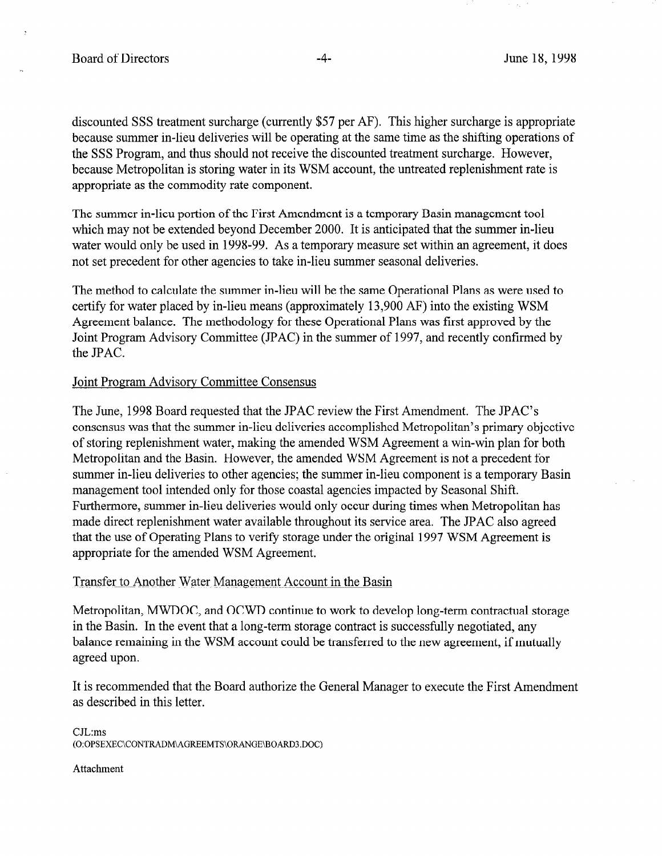discounted SSS treatment surcharge (currently \$57 per AF). This higher surcharge is appropriate because summer in-lieu deliveries will be operating at the same time as the shifting operations of the SSS Program, and thus should not receive the discounted treatment surcharge. However, because Metropolitan is storing water in its WSM account, the untreated replenishment rate is appropriate as the commodity rate component.

The summer in-lieu portion of the First Amendment is a temporary Basin management tool which may not be extended beyond December 2000. It is anticipated that the summer in-lieu water would only be used in 1998-99. As a temporary measure set within an agreement, it does not set precedent for other agencies to take in-lieu summer seasonal deliveries.

The method to calculate the summer in-lieu will be the same Operational Plans as were used to certify for water placed by in-lieu means (approximately 13,900 AF) into the existing WSM Agreement balance. The methodology for these Operational Plans was first approved by the Joint Program Advisory Committee (JPAC) in the summer of 1997, and recently confirmed by the JPAC.

### Joint Program Advisorv Committee Consensus

The June, 1998 Board requested that the JPAC review the First Amendment. The JPAC's consensus was that the summer in-lieu deliveries accomplished Metropolitan's primary objective of storing replenishment water, making the amended WSM Agreement a win-win plan for both Metropolitan and the Basin. However, the amended WSM Agreement is not a precedent for summer in-lieu deliveries to other agencies; the summer in-lieu component is a temporary Basin management tool intended only for those coastal agencies impacted by Seasonal Shift. Furthermore, summer in-lieu deliveries would only occur during times when Metropolitan has made direct replenishment water available throughout its service area. The JPAC also agreed that the use of Operating Plans to verify storage under the original 1997 WSM Agreement is appropriate for the amended WSM Agreement.

### Transfer to Another Water Management Account in the Basin

Metropolitan, MWDOC, and OCWD continue to work to develop long-term contractual storage in the Basin. In the event that a long-term storage contract is successfully negotiated, any balance remaining in the WSM account could be transferred to the new agreement, if mutually agreed upon.

It is recommended that the Board authorize the General Manager to execute the First Amendment as described in this letter.

C.JL:ms (O:OPSEXEC\CONTRADM\AGREEMTS\ORANGE\BOARD3.DOC)

### Attachment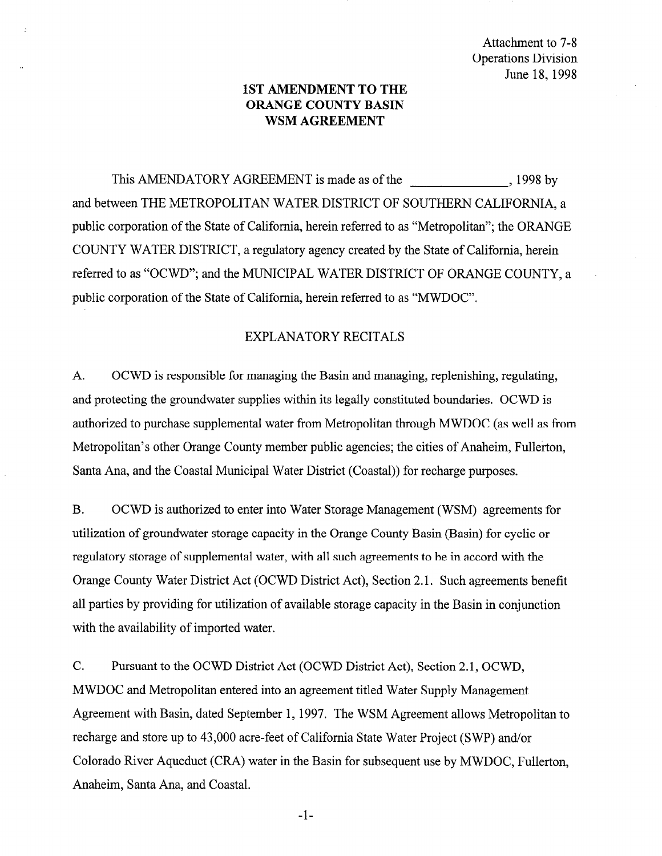Attachment to 7-8 Operations Division June 18, 1998

# 1ST AMENDMENT TO THE ORANGE COUNTY BASIN WSM AGREEMENT

This AMENDATORY AGREEMENT is made as of the 3 1998 by and between THE METROPOLITAN WATER DISTRICT OF SOUTHERN CALIFORNIA, a public corporation of the State of California, herein referred to as "Metropolitan"; the ORANGE COUNTY WATER DISTRICT, a regulatory agency created by the State of California, herein referred to as "OCWD"; and the MUNICIPAL WATER DISTRICT OF ORANGE COUNTY, a public corporation of the State of California, herein referred to as "MWDOC".

## EXPLANATORY RECITALS

A. OCWD is responsible for managing the Basin and managing, replenishing, regulating, and protecting the groundwater supplies within its legally constituted boundaries. OCWD is authorized to purchase supplemental water from Metropolitan through MWDOC (as well as from Metropolitan's other Orange County member public agencies; the cities of Anaheim, Fullerton, Santa Ana, and the Coastal Municipal Water District (Coastal)) for recharge purposes.

B. OCWD is authorized to enter into Water Storage Management (WSM) agreements for utilization of groundwater storage capacity in the Orange County Basin (Basin) for cyclic or regulatory storage of supplemental water, with all such agreements to be in accord with the Orange County Water District Act (OCWD District Act), Section 2.1. Such agreements benefit all parties by providing for utilization of available storage capacity in the Basin in conjunction with the availability of imported water.

C. Pursuant to the OCWD District Act (OCWD District Act), Section 2.1, OCWD, MWDOC and Metropolitan entered into an agreement titled Water Supply Management Agreement with Basin, dated September 1, 1997. The WSM Agreement allows Metropolitan to recharge and store up to 43,000 acre-feet of California State Water Project (SWP) and/or Colorado River Aqueduct (CRA) water in the Basin for subsequent use by MWDOC, Fullerton, Anaheim, Santa Ana, and Coastal.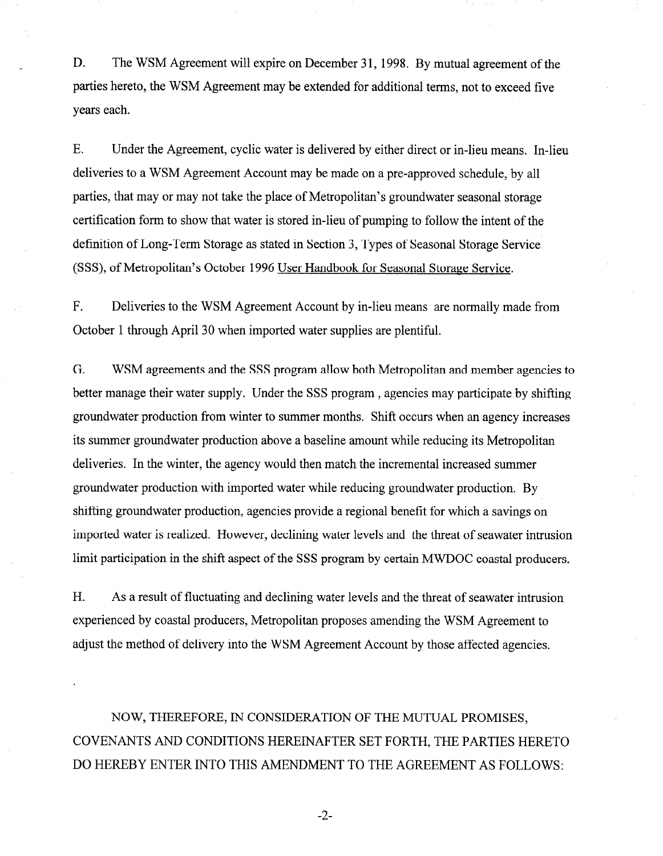D. The WSM Agreement will expire on December 31, 1998. By mutual agreement of the parties hereto, the WSM Agreement may be extended for additional terms, not to exceed five years each.

E. Under the Agreement, cyclic water is delivered by either direct or in-lieu means. In-lieu deliveries to a WSM Agreement Account may be made on a pre-approved schedule, by all parties, that may or may not take the place of Metropolitan's groundwater seasonal storage certification form to show that water is stored in-lieu of pumping to follow the intent of the definition of Long-Term Storage as stated in Section 3, Types of Seasonal Storage Service (SSS), of Metropolitan's October 1996 User Handbook for Seasonal Storage Service,

F. Deliveries to the WSM Agreement Account by in-lieu means are normally made from October 1 through April 30 when imported water supplies are plentiful.

G. WSM agreements and the SSS program allow both Metropolitan and member agencies to better manage their water supply. Under the SSS program , agencies may participate by shifting groundwater production from winter to summer months. Shift occurs when an agency increases its summer groundwater production above a baseline amount while reducing its Metropolitan deliveries. In the winter, the agency would then match the incremental increased summer groundwater production with imported water while reducing groundwater production. By shifting groundwater production, agencies provide a regional benefit for which a savings on imported water is realized. However, declining water levels and the threat of seawater intrusion limit participation in the shift aspect of the SSS program by certain MWDOC coastal producers.

H. As a result of fluctuating and declining water levels and the threat of seawater intrusion experienced by coastal producers, Metropolitan proposes amending the WSM Agreement to adjust the method of delivery into the WSM Agreement Account by those affected agencies.

NOW, THEREFORE, IN CONSIDERATION OF THE MUTUAL PROMISES, COVENANTS AND CONDITIONS HEREINAFTER SET FORTH, THE PARTIES HERETO DO HEREBY ENTER INTO THIS AMENDMENT TO THE AGREEMENT AS FOLLOWS:

-2-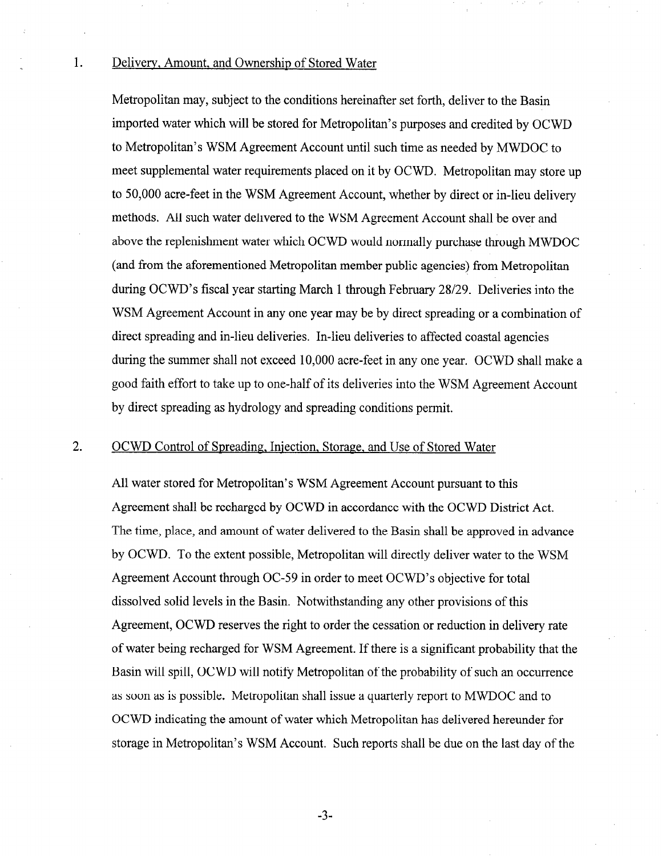#### 1. Delivery, Amount, and Ownership of Stored Water

Metropolitan may, subject to the conditions hereinafter set forth, deliver to the Basin imported water which will be stored for Metropolitan's purposes and credited by OCWD to Metropolitan's WSM Agreement Account until such time as needed by MWDOC to meet supplemental water requirements placed on it by OCWD. Metropolitan may store up to 50,000 acre-feet in the WSM Agreement Account, whether by direct or in-lieu delivery methods, All such water delivered to the WSM Agreement Account shall be over and above the replenishment water which OCWD would normally purchase through MWDOC (and from the aforementioned Metropolitan member public agencies) from Metropolitan during OCWD's fiscal year starting March 1 through February 28/29. Deliveries into the WSM Agreement Account in any one year may be by direct spreading or a combination of direct spreading and in-lieu deliveries. In-lieu deliveries to affected coastal agencies during the summer shall not exceed 10,000 acre-feet in any one year. OCWD shall make a good faith effort to take up to one-half of its deliveries into the WSM Agreement Account by direct spreading as hydrology and spreading conditions permit.

#### 2. OCWD Control of Spreading. Injection, Storage, and Use of Stored Water

All water stored for Metropolitan's WSM Agreement Account pursuant to this Agreement shall be recharged by OCWD in accordance with the OCWD District Act. The time, place, and amount of water delivered to the Basin shall be approved in advance by OCWD. To the extent possible, Metropolitan will directly deliver water to the WSM Agreement Account through OC-59 in order to meet OCWD's objective for total dissolved solid levels in the Basin. Notwithstanding any other provisions of this Agreement, OCWD reserves the right to order the cessation or reduction in delivery rate of water being recharged for WSM Agreement. If there is a significant probability that the Basin will spill, OCWD will notify Metropolitan of the probability of such an occurrence as soon as is possible. Metropolitan shall issue a quarterly report to MWDOC and to OCWD indicating the amount of water which Metropolitan has delivered hereunder for storage in Metropolitan's WSM Account. Such reports shall be due on the last day of the

-3-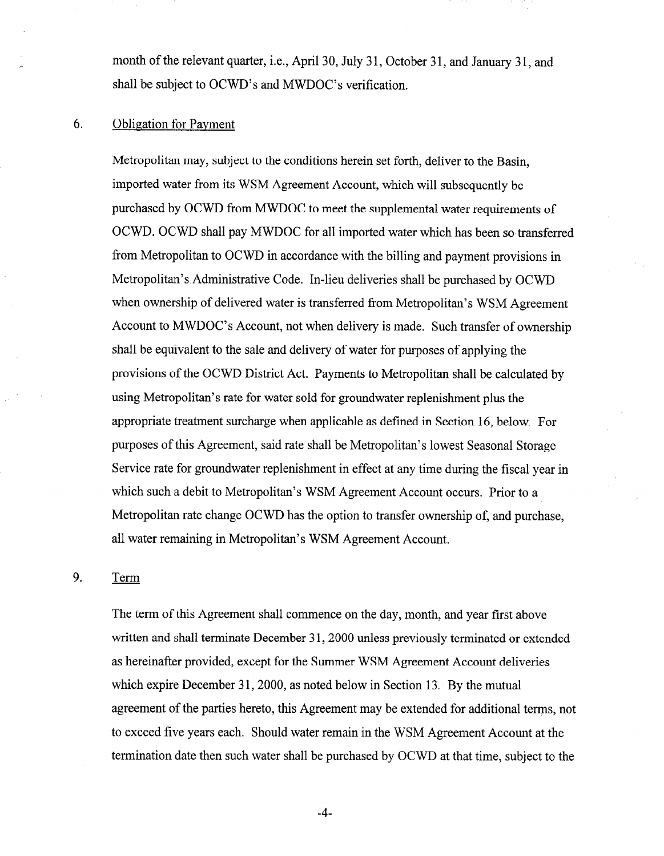month of the relevant quarter, i.e., April 30, July 31, October 31, and January 31, and shall be subject to OCWD's and MWDOC's verification.

# 6. Obligation for Payment

Metropolitan may, subject to the conditions herein set forth, deliver to the Basin, imported water from its WSM Agreement Account, which will subsequently be purchased by OCWD from MWDOC to meet the supplemental water requirements of OCWD. OCWD shall pay MWDOC for all imported water which has been so transferred from Metropolitan to OCWD in accordance with the billing and payment provisions in Metropolitan's Administrative Code. In-lieu deliveries shall be purchased by OCWD when ownership of delivered water is transferred from Metropolitan's WSM Agreement Account to MWDOC's Account, not when delivery is made. Such transfer of ownership shall be equivalent to the sale and delivery of water for purposes of applying the provisions of the OCWD District Act. Payments to Metropolitan shall be calculated by using Metropolitan's rate for water sold for groundwater replenishment plus the appropriate treatment surcharge when applicable as defined in Section 16, below. For purposes of this Agreement, said rate shall be Metropolitan's lowest Seasonal Storage Service rate for groundwater replenishment in effect at any time during the fiscal year in which such a debit to Metropolitan's WSM Agreement Account occurs. Prior to a Metropolitan rate change OCWD has the option to transfer ownership of, and purchase, all water remaining in Metropolitan's WSM Agreement Account.

### 9. Term

The term of this Agreement shall commence on the day, month, and year first above written and shall terminate December 31, 2000 unless previously terminated or extended as hereinafter provided, except for the Summer WSM Agreement Account deliveries which expire December 31, 2000, as noted below in Section 13. By the mutual agreement of the parties hereto, this Agreement may be extended for additional terms, not to exceed five years each. Should water remain in the WSM Agreement Account at the termination date then such water shall be purchased by OCWD at that time, subject to the

-4-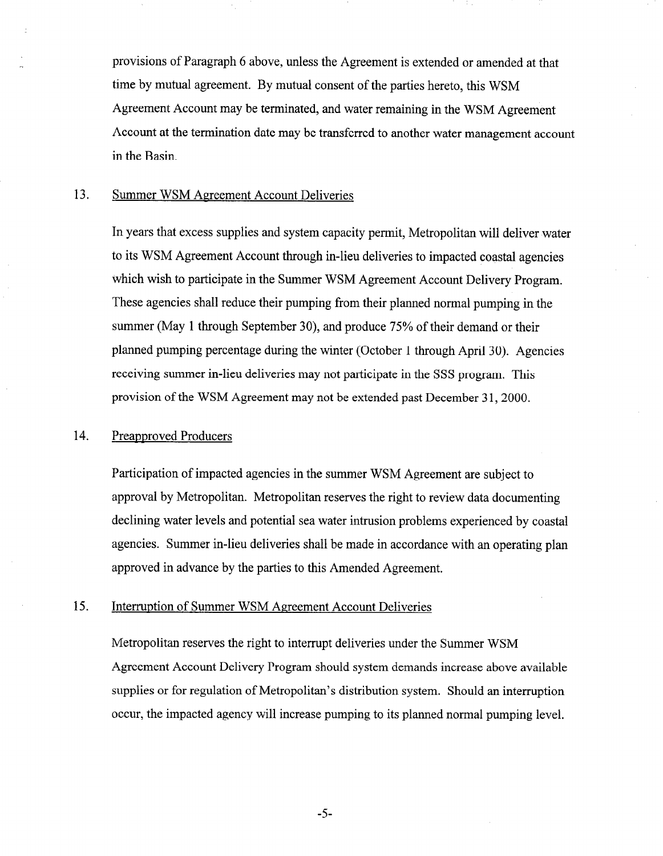provisions of Paragraph 6 above, unless the Agreement is extended or amended at that time by mutual agreement. By mutual consent of the parties hereto, this WSM Agreement Account may be terminated, and water remaining in the WSM Agreement Account at the termination date may be transferred to another water management account in the Basin.

# 13. Summer WSM Agreement Account Deliveries

In years that excess supplies and system capacity permit, Metropolitan will deliver water to its WSM Agreement Account through in-lieu deliveries to impacted coastal agencies which wish to participate in the Summer WSM Agreement Account Delivery Program. These agencies shall reduce their pumping from their planned normal pumping in the summer (May 1 through September 30), and produce 75% of their demand or their planned pumping percentage during the winter (October 1 through April 30). Agencies receiving summer in-lieu deliveries may not participate in the SSS program. This provision of the WSM Agreement may not be extended past December 31, 2000.

## 14. Preapproved Producers

Participation of impacted agencies in the summer WSM Agreement are subject to approval by Metropolitan. Metropolitan reserves the right to review data documenting declining water levels and potential sea water intrusion problems experienced by coastal agencies. Summer in-lieu deliveries shall be made in accordance with an operating plan approved in advance by the parties to this Amended Agreement.

### 15. Interruption of Summer WSM Agreement Account Deliveries

Metropolitan reserves the right to interrupt deliveries under the Summer WSM Agreement Account Delivery Program should system demands increase above available supplies or for regulation of Metropolitan's distribution system. Should an interruption occur, the impacted agency will increase pumping to its planned normal pumping level.

-5-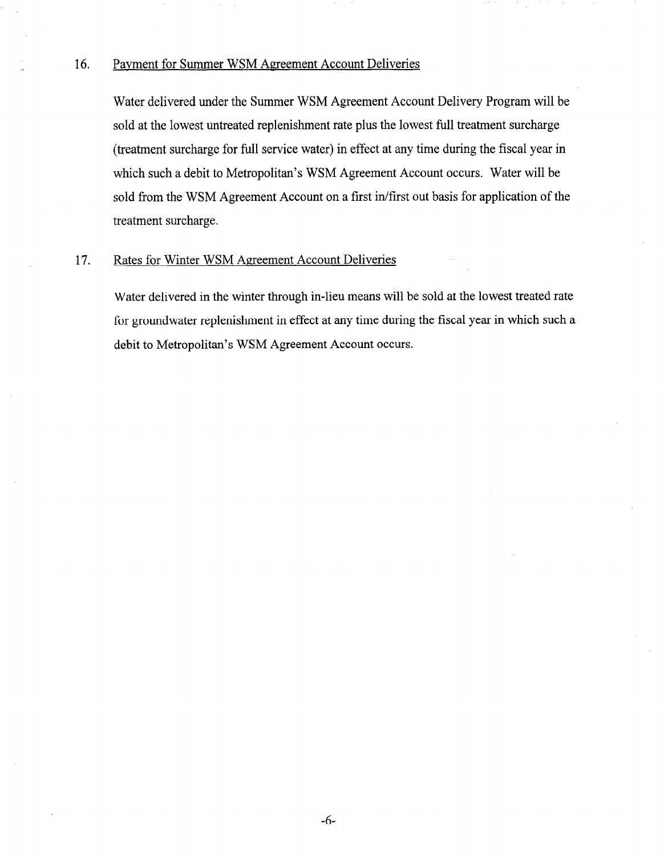# 16. Payment for Summer WSM Agreement Account Deliveries

Water delivered under the Summer WSM Agreement Account Delivery Program will be sold at the lowest untreated replenishment rate plus the lowest full treatment surcharge (treatment surcharge for full service water) in effect at any time during the fiscal year in which such a debit to Metropolitan's WSM Agreement Account occurs. Water will be sold from the WSM Agreement Account on a first in/first out basis for application of the treatment surcharge.

# 17. Rates for Winter WSM Agreement Account Deliveries

Water delivered in the winter through in-lieu means will be sold at the lowest treated rate for groundwater replenishment in effect at any time during the fiscal year in which such a debit to Metropolitan's WSM Agreement Account occurs.